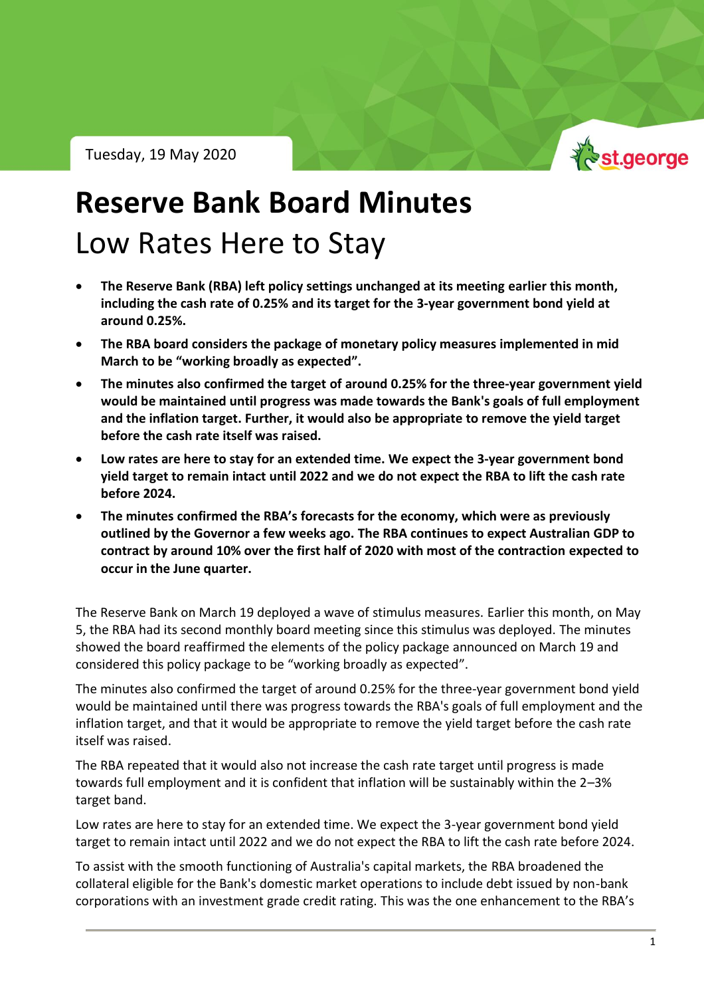St.george

Tuesday, 19 May 2020

# **Reserve Bank Board Minutes** Low Rates Here to Stay

- **The Reserve Bank (RBA) left policy settings unchanged at its meeting earlier this month, including the cash rate of 0.25% and its target for the 3-year government bond yield at around 0.25%.**
- **The RBA board considers the package of monetary policy measures implemented in mid March to be "working broadly as expected".**
- **The minutes also confirmed the target of around 0.25% for the three-year government yield would be maintained until progress was made towards the Bank's goals of full employment and the inflation target. Further, it would also be appropriate to remove the yield target before the cash rate itself was raised.**
- **Low rates are here to stay for an extended time. We expect the 3-year government bond yield target to remain intact until 2022 and we do not expect the RBA to lift the cash rate before 2024.**
- **The minutes confirmed the RBA's forecasts for the economy, which were as previously outlined by the Governor a few weeks ago. The RBA continues to expect Australian GDP to contract by around 10% over the first half of 2020 with most of the contraction expected to occur in the June quarter.**

The Reserve Bank on March 19 deployed a wave of stimulus measures. Earlier this month, on May 5, the RBA had its second monthly board meeting since this stimulus was deployed. The minutes showed the board reaffirmed the elements of the policy package announced on March 19 and considered this policy package to be "working broadly as expected".

The minutes also confirmed the target of around 0.25% for the three-year government bond yield would be maintained until there was progress towards the RBA's goals of full employment and the inflation target, and that it would be appropriate to remove the yield target before the cash rate itself was raised.

The RBA repeated that it would also not increase the cash rate target until progress is made towards full employment and it is confident that inflation will be sustainably within the 2–3% target band.

Low rates are here to stay for an extended time. We expect the 3-year government bond yield target to remain intact until 2022 and we do not expect the RBA to lift the cash rate before 2024.

To assist with the smooth functioning of Australia's capital markets, the RBA broadened the collateral eligible for the Bank's domestic market operations to include debt issued by non-bank corporations with an investment grade credit rating. This was the one enhancement to the RBA's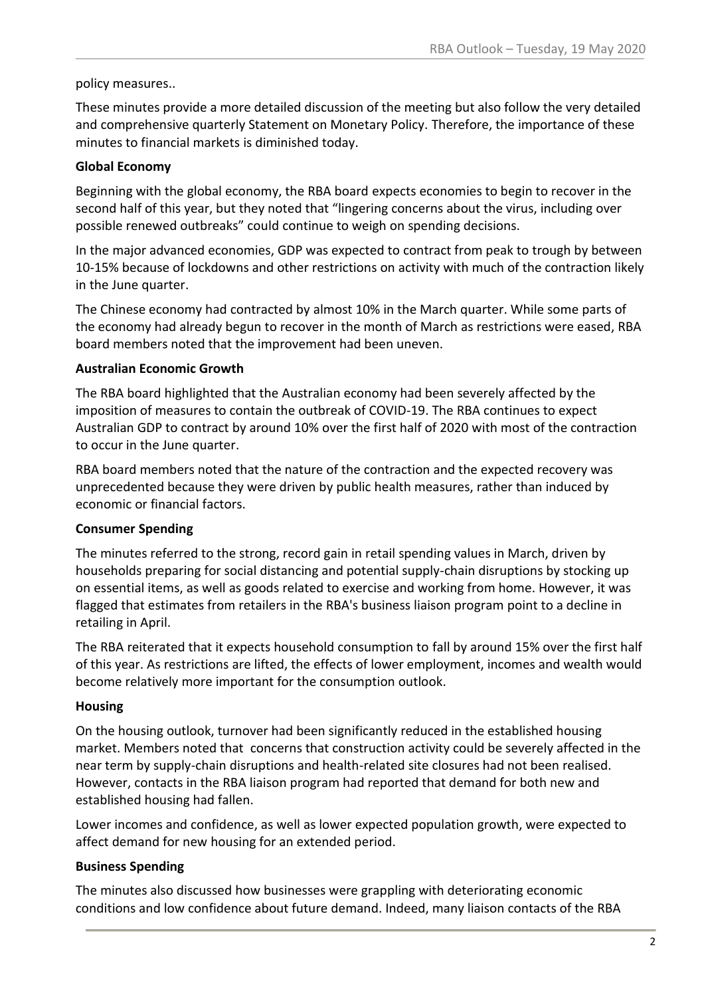#### policy measures..

These minutes provide a more detailed discussion of the meeting but also follow the very detailed and comprehensive quarterly Statement on Monetary Policy. Therefore, the importance of these minutes to financial markets is diminished today.

#### **Global Economy**

Beginning with the global economy, the RBA board expects economies to begin to recover in the second half of this year, but they noted that "lingering concerns about the virus, including over possible renewed outbreaks" could continue to weigh on spending decisions.

In the major advanced economies, GDP was expected to contract from peak to trough by between 10-15% because of lockdowns and other restrictions on activity with much of the contraction likely in the June quarter.

The Chinese economy had contracted by almost 10% in the March quarter. While some parts of the economy had already begun to recover in the month of March as restrictions were eased, RBA board members noted that the improvement had been uneven.

#### **Australian Economic Growth**

The RBA board highlighted that the Australian economy had been severely affected by the imposition of measures to contain the outbreak of COVID-19. The RBA continues to expect Australian GDP to contract by around 10% over the first half of 2020 with most of the contraction to occur in the June quarter.

RBA board members noted that the nature of the contraction and the expected recovery was unprecedented because they were driven by public health measures, rather than induced by economic or financial factors.

#### **Consumer Spending**

The minutes referred to the strong, record gain in retail spending values in March, driven by households preparing for social distancing and potential supply-chain disruptions by stocking up on essential items, as well as goods related to exercise and working from home. However, it was flagged that estimates from retailers in the RBA's business liaison program point to a decline in retailing in April.

The RBA reiterated that it expects household consumption to fall by around 15% over the first half of this year. As restrictions are lifted, the effects of lower employment, incomes and wealth would become relatively more important for the consumption outlook.

#### **Housing**

On the housing outlook, turnover had been significantly reduced in the established housing market. Members noted that concerns that construction activity could be severely affected in the near term by supply-chain disruptions and health-related site closures had not been realised. However, contacts in the RBA liaison program had reported that demand for both new and established housing had fallen.

Lower incomes and confidence, as well as lower expected population growth, were expected to affect demand for new housing for an extended period.

#### **Business Spending**

The minutes also discussed how businesses were grappling with deteriorating economic conditions and low confidence about future demand. Indeed, many liaison contacts of the RBA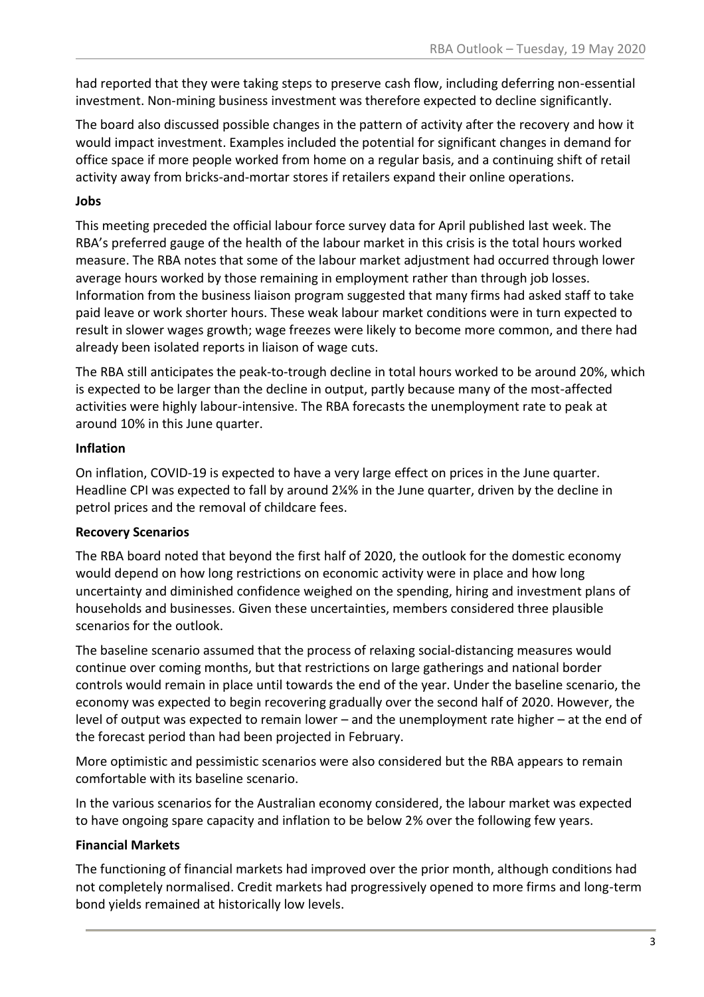had reported that they were taking steps to preserve cash flow, including deferring non-essential investment. Non-mining business investment was therefore expected to decline significantly.

The board also discussed possible changes in the pattern of activity after the recovery and how it would impact investment. Examples included the potential for significant changes in demand for office space if more people worked from home on a regular basis, and a continuing shift of retail activity away from bricks-and-mortar stores if retailers expand their online operations.

#### **Jobs**

This meeting preceded the official labour force survey data for April published last week. The RBA's preferred gauge of the health of the labour market in this crisis is the total hours worked measure. The RBA notes that some of the labour market adjustment had occurred through lower average hours worked by those remaining in employment rather than through job losses. Information from the business liaison program suggested that many firms had asked staff to take paid leave or work shorter hours. These weak labour market conditions were in turn expected to result in slower wages growth; wage freezes were likely to become more common, and there had already been isolated reports in liaison of wage cuts.

The RBA still anticipates the peak-to-trough decline in total hours worked to be around 20%, which is expected to be larger than the decline in output, partly because many of the most-affected activities were highly labour-intensive. The RBA forecasts the unemployment rate to peak at around 10% in this June quarter.

#### **Inflation**

On inflation, COVID-19 is expected to have a very large effect on prices in the June quarter. Headline CPI was expected to fall by around 2¼% in the June quarter, driven by the decline in petrol prices and the removal of childcare fees.

#### **Recovery Scenarios**

The RBA board noted that beyond the first half of 2020, the outlook for the domestic economy would depend on how long restrictions on economic activity were in place and how long uncertainty and diminished confidence weighed on the spending, hiring and investment plans of households and businesses. Given these uncertainties, members considered three plausible scenarios for the outlook.

The baseline scenario assumed that the process of relaxing social-distancing measures would continue over coming months, but that restrictions on large gatherings and national border controls would remain in place until towards the end of the year. Under the baseline scenario, the economy was expected to begin recovering gradually over the second half of 2020. However, the level of output was expected to remain lower – and the unemployment rate higher – at the end of the forecast period than had been projected in February.

More optimistic and pessimistic scenarios were also considered but the RBA appears to remain comfortable with its baseline scenario.

In the various scenarios for the Australian economy considered, the labour market was expected to have ongoing spare capacity and inflation to be below 2% over the following few years.

#### **Financial Markets**

The functioning of financial markets had improved over the prior month, although conditions had not completely normalised. Credit markets had progressively opened to more firms and long-term bond yields remained at historically low levels.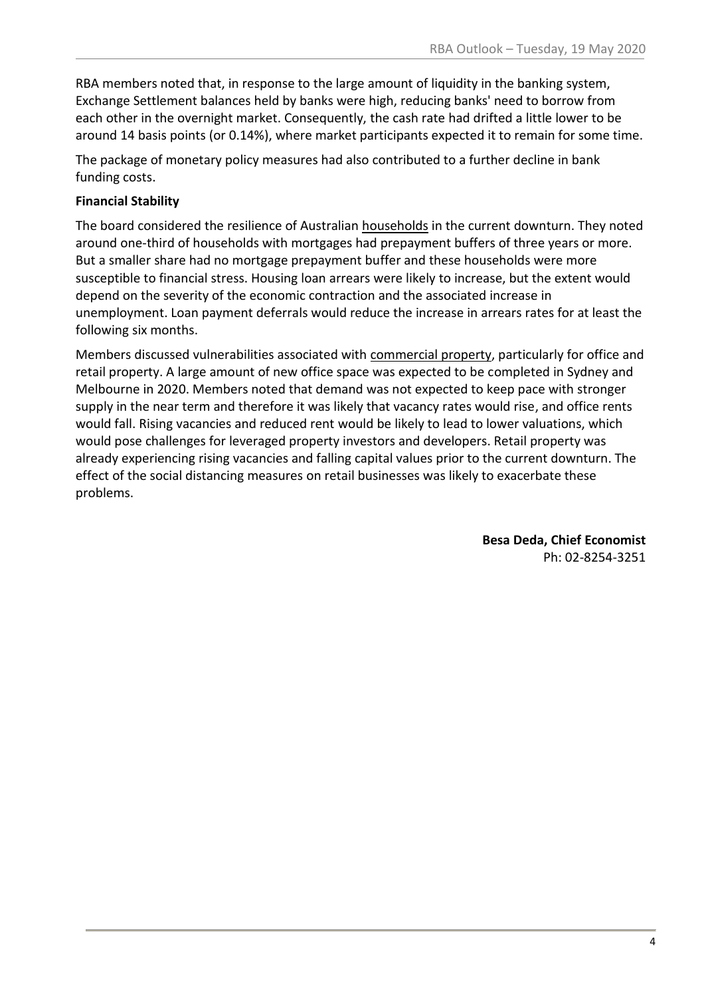RBA members noted that, in response to the large amount of liquidity in the banking system, Exchange Settlement balances held by banks were high, reducing banks' need to borrow from each other in the overnight market. Consequently, the cash rate had drifted a little lower to be around 14 basis points (or 0.14%), where market participants expected it to remain for some time.

The package of monetary policy measures had also contributed to a further decline in bank funding costs.

### **Financial Stability**

The board considered the resilience of Australian households in the current downturn. They noted around one-third of households with mortgages had prepayment buffers of three years or more. But a smaller share had no mortgage prepayment buffer and these households were more susceptible to financial stress. Housing loan arrears were likely to increase, but the extent would depend on the severity of the economic contraction and the associated increase in unemployment. Loan payment deferrals would reduce the increase in arrears rates for at least the following six months.

Members discussed vulnerabilities associated with commercial property, particularly for office and retail property. A large amount of new office space was expected to be completed in Sydney and Melbourne in 2020. Members noted that demand was not expected to keep pace with stronger supply in the near term and therefore it was likely that vacancy rates would rise, and office rents would fall. Rising vacancies and reduced rent would be likely to lead to lower valuations, which would pose challenges for leveraged property investors and developers. Retail property was already experiencing rising vacancies and falling capital values prior to the current downturn. The effect of the social distancing measures on retail businesses was likely to exacerbate these problems.

> **Besa Deda, Chief Economist** Ph: 02-8254-3251